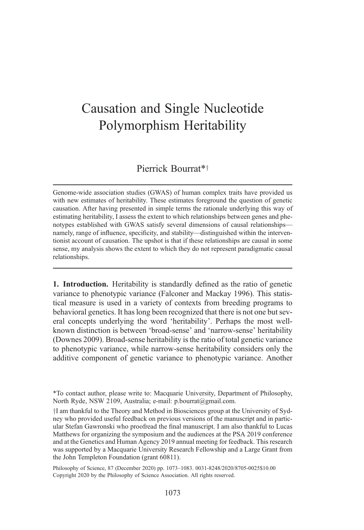## Causation and Single Nucleotide Polymorphism Heritability

## Pierrick Bourrat\*<sup>†</sup>

Genome-wide association studies (GWAS) of human complex traits have provided us with new estimates of heritability. These estimates foreground the question of genetic causation. After having presented in simple terms the rationale underlying this way of estimating heritability, I assess the extent to which relationships between genes and phenotypes established with GWAS satisfy several dimensions of causal relationships namely, range of influence, specificity, and stability—distinguished within the interventionist account of causation. The upshot is that if these relationships are causal in some sense, my analysis shows the extent to which they do not represent paradigmatic causal relationships.

1. Introduction. Heritability is standardly defined as the ratio of genetic variance to phenotypic variance (Falconer and Mackay 1996). This statistical measure is used in a variety of contexts from breeding programs to behavioral genetics. It has long been recognized that there is not one but several concepts underlying the word 'heritability'. Perhaps the most wellknown distinction is between 'broad-sense' and 'narrow-sense' heritability (Downes 2009). Broad-sense heritability is the ratio of total genetic variance to phenotypic variance, while narrow-sense heritability considers only the additive component of genetic variance to phenotypic variance. Another

<sup>\*</sup>To contact author, please write to: Macquarie University, Department of Philosophy, North Ryde, NSW 2109, Australia; e-mail: p.bourrat@gmail.com.

<sup>&</sup>lt;sup>†</sup>I am thankful to the Theory and Method in Biosciences group at the University of Sydney who provided useful feedback on previous versions of the manuscript and in particular Stefan Gawronski who proofread the final manuscript. I am also thankful to Lucas Matthews for organizing the symposium and the audiences at the PSA 2019 conference and at the Genetics and Human Agency 2019 annual meeting for feedback. This research was supported by a Macquarie University Research Fellowship and a Large Grant from the John Templeton Foundation (grant 60811).

Philosophy of Science, 87 (December 2020) pp. 1073–1083. 0031-8248/2020/8705-0025\$10.00 Copyright 2020 by the Philosophy of Science Association. All rights reserved.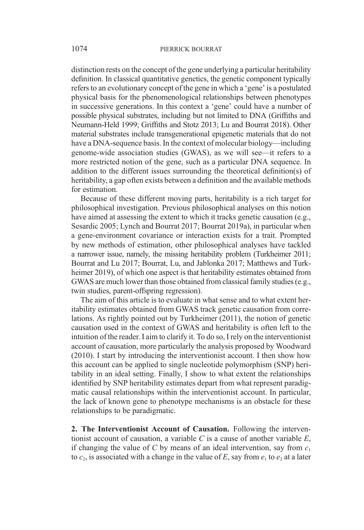distinction rests on the concept of the gene underlying a particular heritability definition. In classical quantitative genetics, the genetic component typically refers to an evolutionary concept of the gene in which a 'gene' is a postulated physical basis for the phenomenological relationships between phenotypes in successive generations. In this context a 'gene' could have a number of possible physical substrates, including but not limited to DNA (Griffiths and Neumann-Held 1999; Griffiths and Stotz 2013; Lu and Bourrat 2018). Other material substrates include transgenerational epigenetic materials that do not have a DNA-sequence basis. In the context of molecular biology—including genome-wide association studies (GWAS), as we will see—it refers to a more restricted notion of the gene, such as a particular DNA sequence. In addition to the different issues surrounding the theoretical definition(s) of heritability, a gap often exists between a definition and the available methods for estimation.

Because of these different moving parts, heritability is a rich target for philosophical investigation. Previous philosophical analyses on this notion have aimed at assessing the extent to which it tracks genetic causation (e.g., Sesardic 2005; Lynch and Bourrat 2017; Bourrat 2019a), in particular when a gene-environment covariance or interaction exists for a trait. Prompted by new methods of estimation, other philosophical analyses have tackled a narrower issue, namely, the missing heritability problem (Turkheimer 2011; Bourrat and Lu 2017; Bourrat, Lu, and Jablonka 2017; Matthews and Turkheimer 2019), of which one aspect is that heritability estimates obtained from GWAS are much lower than those obtained from classical family studies (e.g., twin studies, parent-offspring regression).

The aim of this article is to evaluate in what sense and to what extent heritability estimates obtained from GWAS track genetic causation from correlations. As rightly pointed out by Turkheimer (2011), the notion of genetic causation used in the context of GWAS and heritability is often left to the intuition of the reader. I aim to clarify it. To do so, I rely on the interventionist account of causation, more particularly the analysis proposed by Woodward (2010). I start by introducing the interventionist account. I then show how this account can be applied to single nucleotide polymorphism (SNP) heritability in an ideal setting. Finally, I show to what extent the relationships identified by SNP heritability estimates depart from what represent paradigmatic causal relationships within the interventionist account. In particular, the lack of known gene to phenotype mechanisms is an obstacle for these relationships to be paradigmatic.

2. The Interventionist Account of Causation. Following the interventionist account of causation, a variable  $C$  is a cause of another variable  $E$ , if changing the value of C by means of an ideal intervention, say from  $c_1$ to  $c_2$ , is associated with a change in the value of E, say from  $e_1$  to  $e_2$  at a later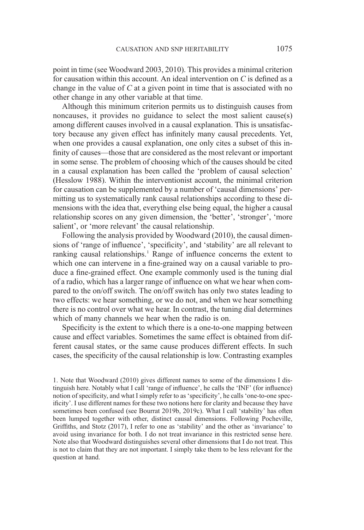point in time (see Woodward 2003, 2010). This provides a minimal criterion for causation within this account. An ideal intervention on C is defined as a change in the value of  $C$  at a given point in time that is associated with no other change in any other variable at that time.

Although this minimum criterion permits us to distinguish causes from noncauses, it provides no guidance to select the most salient cause(s) among different causes involved in a causal explanation. This is unsatisfactory because any given effect has infinitely many causal precedents. Yet, when one provides a causal explanation, one only cites a subset of this infinity of causes—those that are considered as the most relevant or important in some sense. The problem of choosing which of the causes should be cited in a causal explanation has been called the 'problem of causal selection' (Hesslow 1988). Within the interventionist account, the minimal criterion for causation can be supplemented by a number of 'causal dimensions' permitting us to systematically rank causal relationships according to these dimensions with the idea that, everything else being equal, the higher a causal relationship scores on any given dimension, the 'better', 'stronger', 'more salient', or 'more relevant' the causal relationship.

Following the analysis provided by Woodward (2010), the causal dimensions of 'range of influence', 'specificity', and 'stability' are all relevant to ranking causal relationships.<sup>1</sup> Range of influence concerns the extent to which one can intervene in a fine-grained way on a causal variable to produce a fine-grained effect. One example commonly used is the tuning dial of a radio, which has a larger range of influence on what we hear when compared to the on/off switch. The on/off switch has only two states leading to two effects: we hear something, or we do not, and when we hear something there is no control over what we hear. In contrast, the tuning dial determines which of many channels we hear when the radio is on.

Specificity is the extent to which there is a one-to-one mapping between cause and effect variables. Sometimes the same effect is obtained from different causal states, or the same cause produces different effects. In such cases, the specificity of the causal relationship is low. Contrasting examples

1. Note that Woodward (2010) gives different names to some of the dimensions I distinguish here. Notably what I call 'range of influence', he calls the 'INF' (for influence) notion of specificity, and what I simply refer to as 'specificity', he calls 'one-to-one specificity'. I use different names for these two notions here for clarity and because they have sometimes been confused (see Bourrat 2019b, 2019c). What I call 'stability' has often been lumped together with other, distinct causal dimensions. Following Pocheville, Griffiths, and Stotz (2017), I refer to one as 'stability' and the other as 'invariance' to avoid using invariance for both. I do not treat invariance in this restricted sense here. Note also that Woodward distinguishes several other dimensions that I do not treat. This is not to claim that they are not important. I simply take them to be less relevant for the question at hand.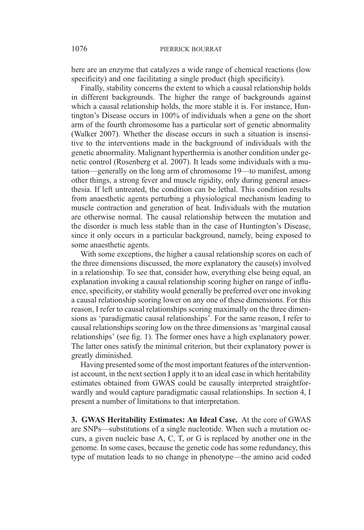here are an enzyme that catalyzes a wide range of chemical reactions (low specificity) and one facilitating a single product (high specificity).

Finally, stability concerns the extent to which a causal relationship holds in different backgrounds. The higher the range of backgrounds against which a causal relationship holds, the more stable it is. For instance, Huntington's Disease occurs in 100% of individuals when a gene on the short arm of the fourth chromosome has a particular sort of genetic abnormality (Walker 2007). Whether the disease occurs in such a situation is insensitive to the interventions made in the background of individuals with the genetic abnormality. Malignant hyperthermia is another condition under genetic control (Rosenberg et al. 2007). It leads some individuals with a mutation—generally on the long arm of chromosome 19—to manifest, among other things, a strong fever and muscle rigidity, only during general anaesthesia. If left untreated, the condition can be lethal. This condition results from anaesthetic agents perturbing a physiological mechanism leading to muscle contraction and generation of heat. Individuals with the mutation are otherwise normal. The causal relationship between the mutation and the disorder is much less stable than in the case of Huntington's Disease, since it only occurs in a particular background, namely, being exposed to some anaesthetic agents.

With some exceptions, the higher a causal relationship scores on each of the three dimensions discussed, the more explanatory the cause(s) involved in a relationship. To see that, consider how, everything else being equal, an explanation invoking a causal relationship scoring higher on range of influence, specificity, or stability would generally be preferred over one invoking a causal relationship scoring lower on any one of these dimensions. For this reason, I refer to causal relationships scoring maximally on the three dimensions as 'paradigmatic causal relationships'. For the same reason, I refer to causal relationships scoring low on the three dimensions as 'marginal causal relationships' (see fig. 1). The former ones have a high explanatory power. The latter ones satisfy the minimal criterion, but their explanatory power is greatly diminished.

Having presented some of the most important features of the interventionist account, in the next section I apply it to an ideal case in which heritability estimates obtained from GWAS could be causally interpreted straightforwardly and would capture paradigmatic causal relationships. In section 4, I present a number of limitations to that interpretation.

3. GWAS Heritability Estimates: An Ideal Case. At the core of GWAS are SNPs—substitutions of a single nucleotide. When such a mutation occurs, a given nucleic base A, C, T, or G is replaced by another one in the genome. In some cases, because the genetic code has some redundancy, this type of mutation leads to no change in phenotype—the amino acid coded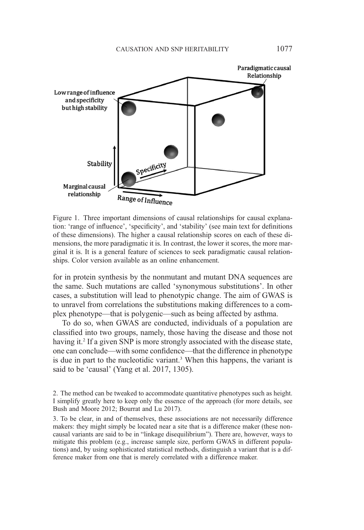

Figure 1. Three important dimensions of causal relationships for causal explanation: 'range of influence', 'specificity', and 'stability' (see main text for definitions of these dimensions). The higher a causal relationship scores on each of these dimensions, the more paradigmatic it is. In contrast, the lower it scores, the more marginal it is. It is a general feature of sciences to seek paradigmatic causal relationships. Color version available as an online enhancement.

for in protein synthesis by the nonmutant and mutant DNA sequences are the same. Such mutations are called 'synonymous substitutions'. In other cases, a substitution will lead to phenotypic change. The aim of GWAS is to unravel from correlations the substitutions making differences to a complex phenotype—that is polygenic—such as being affected by asthma.

To do so, when GWAS are conducted, individuals of a population are classified into two groups, namely, those having the disease and those not having it.<sup>2</sup> If a given SNP is more strongly associated with the disease state, one can conclude—with some confidence—that the difference in phenotype is due in part to the nucleotidic variant.<sup>3</sup> When this happens, the variant is said to be 'causal' (Yang et al. 2017, 1305).

2. The method can be tweaked to accommodate quantitative phenotypes such as height. I simplify greatly here to keep only the essence of the approach (for more details, see Bush and Moore 2012; Bourrat and Lu 2017).

3. To be clear, in and of themselves, these associations are not necessarily difference makers: they might simply be located near a site that is a difference maker (these noncausal variants are said to be in "linkage disequilibrium"). There are, however, ways to mitigate this problem (e.g., increase sample size, perform GWAS in different populations) and, by using sophisticated statistical methods, distinguish a variant that is a difference maker from one that is merely correlated with a difference maker.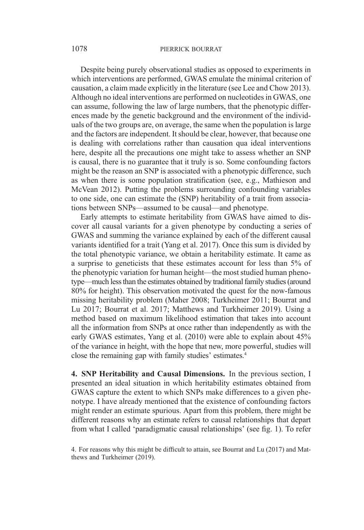## 1078 PIERRICK BOURRAT

Despite being purely observational studies as opposed to experiments in which interventions are performed, GWAS emulate the minimal criterion of causation, a claim made explicitly in the literature (see Lee and Chow 2013). Although no ideal interventions are performed on nucleotides in GWAS, one can assume, following the law of large numbers, that the phenotypic differences made by the genetic background and the environment of the individuals of the two groups are, on average, the same when the population is large and the factors are independent. It should be clear, however, that because one is dealing with correlations rather than causation qua ideal interventions here, despite all the precautions one might take to assess whether an SNP is causal, there is no guarantee that it truly is so. Some confounding factors might be the reason an SNP is associated with a phenotypic difference, such as when there is some population stratification (see, e.g., Mathieson and McVean 2012). Putting the problems surrounding confounding variables to one side, one can estimate the (SNP) heritability of a trait from associations between SNPs—assumed to be causal—and phenotype.

Early attempts to estimate heritability from GWAS have aimed to discover all causal variants for a given phenotype by conducting a series of GWAS and summing the variance explained by each of the different causal variants identified for a trait (Yang et al. 2017). Once this sum is divided by the total phenotypic variance, we obtain a heritability estimate. It came as a surprise to geneticists that these estimates account for less than 5% of the phenotypic variation for human height—the most studied human phenotype—much less than the estimates obtained by traditional family studies (around 80% for height). This observation motivated the quest for the now-famous missing heritability problem (Maher 2008; Turkheimer 2011; Bourrat and Lu 2017; Bourrat et al. 2017; Matthews and Turkheimer 2019). Using a method based on maximum likelihood estimation that takes into account all the information from SNPs at once rather than independently as with the early GWAS estimates, Yang et al. (2010) were able to explain about 45% of the variance in height, with the hope that new, more powerful, studies will close the remaining gap with family studies' estimates.4

4. SNP Heritability and Causal Dimensions. In the previous section, I presented an ideal situation in which heritability estimates obtained from GWAS capture the extent to which SNPs make differences to a given phenotype. I have already mentioned that the existence of confounding factors might render an estimate spurious. Apart from this problem, there might be different reasons why an estimate refers to causal relationships that depart from what I called 'paradigmatic causal relationships' (see fig. 1). To refer

<sup>4.</sup> For reasons why this might be difficult to attain, see Bourrat and Lu (2017) and Matthews and Turkheimer (2019).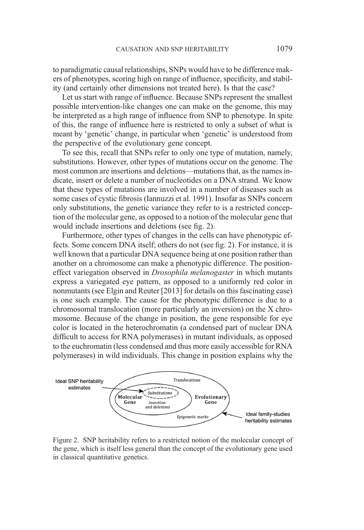to paradigmatic causal relationships, SNPs would have to be difference makers of phenotypes, scoring high on range of influence, specificity, and stability (and certainly other dimensions not treated here). Is that the case?

Let us start with range of influence. Because SNPs represent the smallest possible intervention-like changes one can make on the genome, this may be interpreted as a high range of influence from SNP to phenotype. In spite of this, the range of influence here is restricted to only a subset of what is meant by 'genetic' change, in particular when 'genetic' is understood from the perspective of the evolutionary gene concept.

To see this, recall that SNPs refer to only one type of mutation, namely, substitutions. However, other types of mutations occur on the genome. The most common are insertions and deletions—mutations that, as the names indicate, insert or delete a number of nucleotides on a DNA strand. We know that these types of mutations are involved in a number of diseases such as some cases of cystic fibrosis (Iannuzzi et al. 1991). Insofar as SNPs concern only substitutions, the genetic variance they refer to is a restricted conception of the molecular gene, as opposed to a notion of the molecular gene that would include insertions and deletions (see fig. 2).

Furthermore, other types of changes in the cells can have phenotypic effects. Some concern DNA itself; others do not (see fig. 2). For instance, it is well known that a particular DNA sequence being at one position rather than another on a chromosome can make a phenotypic difference. The positioneffect variegation observed in Drosophila melanogaster in which mutants express a variegated eye pattern, as opposed to a uniformly red color in nonmutants (see Elgin and Reuter [2013] for details on this fascinating case) is one such example. The cause for the phenotypic difference is due to a chromosomal translocation (more particularly an inversion) on the X chromosome. Because of the change in position, the gene responsible for eye color is located in the heterochromatin (a condensed part of nuclear DNA difficult to access for RNA polymerases) in mutant individuals, as opposed to the euchromatin (less condensed and thus more easily accessible for RNA polymerases) in wild individuals. This change in position explains why the



Figure 2. SNP heritability refers to a restricted notion of the molecular concept of the gene, which is itself less general than the concept of the evolutionary gene used in classical quantitative genetics.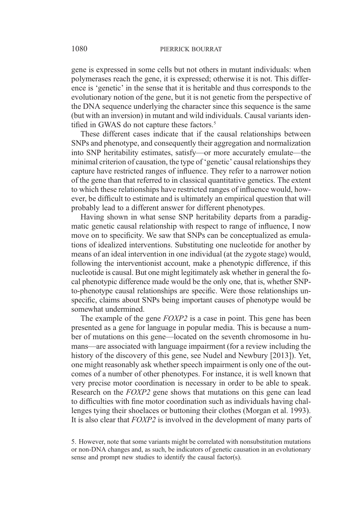gene is expressed in some cells but not others in mutant individuals: when polymerases reach the gene, it is expressed; otherwise it is not. This difference is 'genetic' in the sense that it is heritable and thus corresponds to the evolutionary notion of the gene, but it is not genetic from the perspective of the DNA sequence underlying the character since this sequence is the same (but with an inversion) in mutant and wild individuals. Causal variants identified in GWAS do not capture these factors.<sup>5</sup>

These different cases indicate that if the causal relationships between SNPs and phenotype, and consequently their aggregation and normalization into SNP heritability estimates, satisfy—or more accurately emulate—the minimal criterion of causation, the type of 'genetic' causal relationships they capture have restricted ranges of influence. They refer to a narrower notion of the gene than that referred to in classical quantitative genetics. The extent to which these relationships have restricted ranges of influence would, however, be difficult to estimate and is ultimately an empirical question that will probably lead to a different answer for different phenotypes.

Having shown in what sense SNP heritability departs from a paradigmatic genetic causal relationship with respect to range of influence, I now move on to specificity. We saw that SNPs can be conceptualized as emulations of idealized interventions. Substituting one nucleotide for another by means of an ideal intervention in one individual (at the zygote stage) would, following the interventionist account, make a phenotypic difference, if this nucleotide is causal. But one might legitimately ask whether in general the focal phenotypic difference made would be the only one, that is, whether SNPto-phenotype causal relationships are specific. Were those relationships unspecific, claims about SNPs being important causes of phenotype would be somewhat undermined.

The example of the gene  $FOXP2$  is a case in point. This gene has been presented as a gene for language in popular media. This is because a number of mutations on this gene—located on the seventh chromosome in humans—are associated with language impairment (for a review including the history of the discovery of this gene, see Nudel and Newbury [2013]). Yet, one might reasonably ask whether speech impairment is only one of the outcomes of a number of other phenotypes. For instance, it is well known that very precise motor coordination is necessary in order to be able to speak. Research on the *FOXP2* gene shows that mutations on this gene can lead to difficulties with fine motor coordination such as individuals having challenges tying their shoelaces or buttoning their clothes (Morgan et al. 1993). It is also clear that  $FOXP2$  is involved in the development of many parts of

<sup>5.</sup> However, note that some variants might be correlated with nonsubstitution mutations or non-DNA changes and, as such, be indicators of genetic causation in an evolutionary sense and prompt new studies to identify the causal factor(s).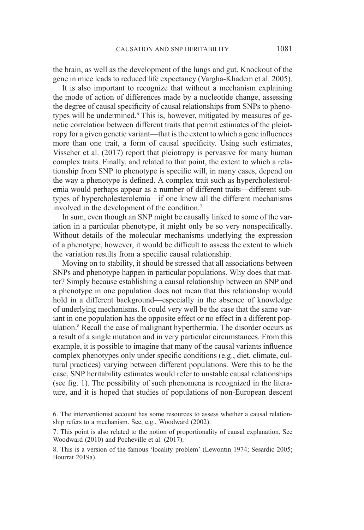the brain, as well as the development of the lungs and gut. Knockout of the gene in mice leads to reduced life expectancy (Vargha-Khadem et al. 2005).

It is also important to recognize that without a mechanism explaining the mode of action of differences made by a nucleotide change, assessing the degree of causal specificity of causal relationships from SNPs to phenotypes will be undermined.<sup>6</sup> This is, however, mitigated by measures of genetic correlation between different traits that permit estimates of the pleiotropy for a given genetic variant—that is the extent to which a gene influences more than one trait, a form of causal specificity. Using such estimates, Visscher et al. (2017) report that pleiotropy is pervasive for many human complex traits. Finally, and related to that point, the extent to which a relationship from SNP to phenotype is specific will, in many cases, depend on the way a phenotype is defined. A complex trait such as hypercholesterolemia would perhaps appear as a number of different traits—different subtypes of hypercholesterolemia—if one knew all the different mechanisms involved in the development of the condition.7

In sum, even though an SNP might be causally linked to some of the variation in a particular phenotype, it might only be so very nonspecifically. Without details of the molecular mechanisms underlying the expression of a phenotype, however, it would be difficult to assess the extent to which the variation results from a specific causal relationship.

Moving on to stability, it should be stressed that all associations between SNPs and phenotype happen in particular populations. Why does that matter? Simply because establishing a causal relationship between an SNP and a phenotype in one population does not mean that this relationship would hold in a different background—especially in the absence of knowledge of underlying mechanisms. It could very well be the case that the same variant in one population has the opposite effect or no effect in a different population.8 Recall the case of malignant hyperthermia. The disorder occurs as a result of a single mutation and in very particular circumstances. From this example, it is possible to imagine that many of the causal variants influence complex phenotypes only under specific conditions (e.g., diet, climate, cultural practices) varying between different populations. Were this to be the case, SNP heritability estimates would refer to unstable causal relationships (see fig. 1). The possibility of such phenomena is recognized in the literature, and it is hoped that studies of populations of non-European descent

<sup>6.</sup> The interventionist account has some resources to assess whether a causal relationship refers to a mechanism. See, e.g., Woodward (2002).

<sup>7.</sup> This point is also related to the notion of proportionality of causal explanation. See Woodward (2010) and Pocheville et al. (2017).

<sup>8.</sup> This is a version of the famous 'locality problem' (Lewontin 1974; Sesardic 2005; Bourrat 2019a).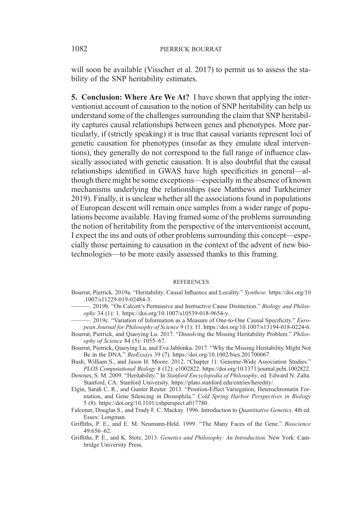will soon be available (Visscher et al. 2017) to permit us to assess the stability of the SNP heritability estimates.

5. Conclusion: Where Are We At? I have shown that applying the interventionist account of causation to the notion of SNP heritability can help us understand some of the challenges surrounding the claim that SNP heritability captures causal relationships between genes and phenotypes. More particularly, if (strictly speaking) it is true that causal variants represent loci of genetic causation for phenotypes (insofar as they emulate ideal interventions), they generally do not correspond to the full range of influence classically associated with genetic causation. It is also doubtful that the causal relationships identified in GWAS have high specificities in general—although there might be some exceptions—especially in the absence of known mechanisms underlying the relationships (see Matthews and Turkheimer 2019). Finally, it is unclear whether all the associations found in populations of European descent will remain once samples from a wider range of populations become available. Having framed some of the problems surrounding the notion of heritability from the perspective of the interventionist account, I expect the ins and outs of other problems surrounding this concept—especially those pertaining to causation in the context of the advent of new biotechnologies—to be more easily assessed thanks to this framing.

## **REFERENCES**

- Bourrat, Pierrick. 2019a. "Heritability, Causal Influence and Locality." Synthese. https://doi.org/10 .1007/s11229-019-02484-3.
	- -. 2019b. "On Calcott's Permissive and Instructive Cause Distinction." Biology and Philosophy 34 (1): 1. https://doi.org/10.1007/s10539-018-9654-y.
	- 2019c. "Variation of Information as a Measure of One-to-One Causal Specificity." European Journal for Philosophy of Science 9 (1): 11. https://doi.org/10.1007/s13194-018-0224-6.
- Bourrat, Pierrick, and Qiaoying Lu. 2017. "Dissolving the Missing Heritability Problem." Philosophy of Science 84 (5): 1055–67.
- Bourrat, Pierrick, Qiaoying Lu, and Eva Jablonka. 2017. "Why the Missing Heritability Might Not Be in the DNA." BioEssays 39 (7). https://doi.org/10.1002/bies.201700067.
- Bush, William S., and Jason H. Moore. 2012. "Chapter 11: Genome-Wide Association Studies." PLOS Computational Biology 8 (12): e1002822. https://doi.org/10.1371/journal.pcbi.1002822.
- Downes, S. M. 2009. "Heritability." In Stanford Encyclopedia of Philosophy, ed. Edward N. Zalta. Stanford, CA: Stanford University. https://plato.stanford.edu/entries/heredity/.
- Elgin, Sarah C. R., and Gunter Reuter. 2013. "Position-Effect Variegation, Heterochromatin Formation, and Gene Silencing in Drosophila." Cold Spring Harbor Perspectives in Biology 5 (8). https://doi.org/10.1101/cshperspect.a017780.
- Falconer, Douglas S., and Trudy F. C. Mackay. 1996. Introduction to Quantitative Genetics. 4th ed. Essex: Longman.
- Griffiths, P. E., and E. M. Neumann-Held. 1999. "The Many Faces of the Gene." Bioscience 49:656–62.
- Griffiths, P. E., and K. Stotz. 2013. Genetics and Philosophy: An Introduction. New York: Cambridge University Press.